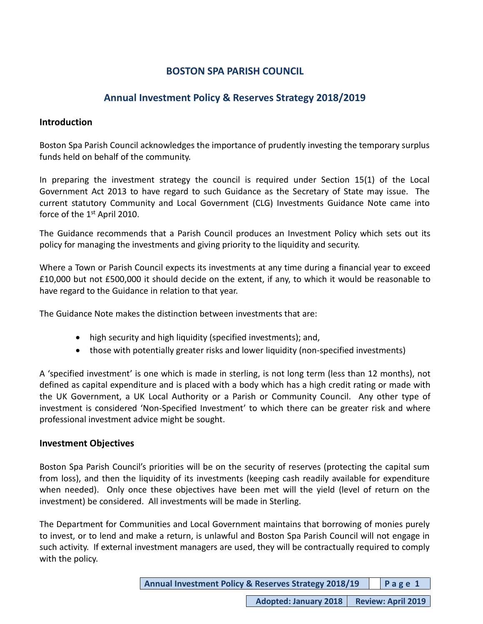# **BOSTON SPA PARISH COUNCIL**

# **Annual Investment Policy & Reserves Strategy 2018/2019**

# **Introduction**

Boston Spa Parish Council acknowledges the importance of prudently investing the temporary surplus funds held on behalf of the community.

In preparing the investment strategy the council is required under Section 15(1) of the Local Government Act 2013 to have regard to such Guidance as the Secretary of State may issue. The current statutory Community and Local Government (CLG) Investments Guidance Note came into force of the 1<sup>st</sup> April 2010.

The Guidance recommends that a Parish Council produces an Investment Policy which sets out its policy for managing the investments and giving priority to the liquidity and security.

Where a Town or Parish Council expects its investments at any time during a financial year to exceed £10,000 but not £500,000 it should decide on the extent, if any, to which it would be reasonable to have regard to the Guidance in relation to that year.

The Guidance Note makes the distinction between investments that are:

- high security and high liquidity (specified investments); and,
- those with potentially greater risks and lower liquidity (non-specified investments)

A 'specified investment' is one which is made in sterling, is not long term (less than 12 months), not defined as capital expenditure and is placed with a body which has a high credit rating or made with the UK Government, a UK Local Authority or a Parish or Community Council. Any other type of investment is considered 'Non-Specified Investment' to which there can be greater risk and where professional investment advice might be sought.

# **Investment Objectives**

Boston Spa Parish Council's priorities will be on the security of reserves (protecting the capital sum from loss), and then the liquidity of its investments (keeping cash readily available for expenditure when needed). Only once these objectives have been met will the yield (level of return on the investment) be considered. All investments will be made in Sterling.

The Department for Communities and Local Government maintains that borrowing of monies purely to invest, or to lend and make a return, is unlawful and Boston Spa Parish Council will not engage in such activity. If external investment managers are used, they will be contractually required to comply with the policy.

| Annual Investment Policy & Reserves Strategy 2018/19 |  | Page 1 |
|------------------------------------------------------|--|--------|
|------------------------------------------------------|--|--------|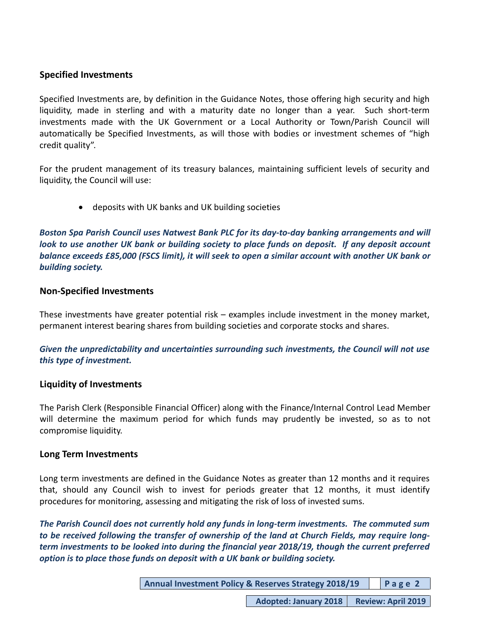## **Specified Investments**

Specified Investments are, by definition in the Guidance Notes, those offering high security and high liquidity, made in sterling and with a maturity date no longer than a year. Such short-term investments made with the UK Government or a Local Authority or Town/Parish Council will automatically be Specified Investments, as will those with bodies or investment schemes of "high credit quality".

For the prudent management of its treasury balances, maintaining sufficient levels of security and liquidity, the Council will use:

• deposits with UK banks and UK building societies

*Boston Spa Parish Council uses Natwest Bank PLC for its day-to-day banking arrangements and will look to use another UK bank or building society to place funds on deposit. If any deposit account balance exceeds £85,000 (FSCS limit), it will seek to open a similar account with another UK bank or building society.*

## **Non-Specified Investments**

These investments have greater potential risk – examples include investment in the money market, permanent interest bearing shares from building societies and corporate stocks and shares.

*Given the unpredictability and uncertainties surrounding such investments, the Council will not use this type of investment.*

### **Liquidity of Investments**

The Parish Clerk (Responsible Financial Officer) along with the Finance/Internal Control Lead Member will determine the maximum period for which funds may prudently be invested, so as to not compromise liquidity.

### **Long Term Investments**

Long term investments are defined in the Guidance Notes as greater than 12 months and it requires that, should any Council wish to invest for periods greater that 12 months, it must identify procedures for monitoring, assessing and mitigating the risk of loss of invested sums.

*The Parish Council does not currently hold any funds in long-term investments. The commuted sum to be received following the transfer of ownership of the land at Church Fields, may require longterm investments to be looked into during the financial year 2018/19, though the current preferred option is to place those funds on deposit with a UK bank or building society.*

| Annual Investment Policy & Reserves Strategy 2018/19 |  | Page 2 |
|------------------------------------------------------|--|--------|
|------------------------------------------------------|--|--------|

**Adopted: January 2018 Review: April 2019**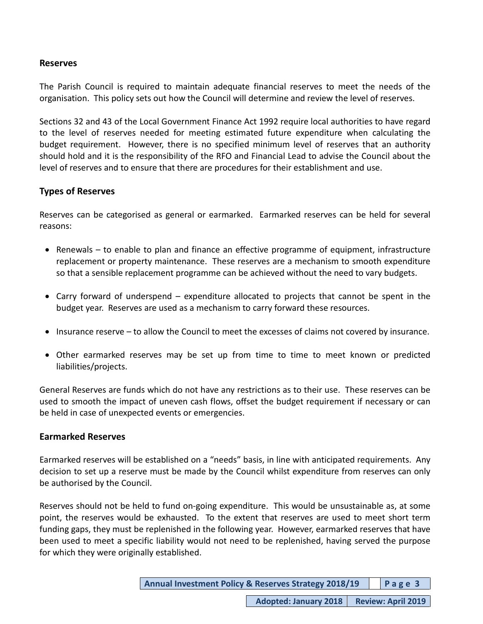## **Reserves**

The Parish Council is required to maintain adequate financial reserves to meet the needs of the organisation. This policy sets out how the Council will determine and review the level of reserves.

Sections 32 and 43 of the Local Government Finance Act 1992 require local authorities to have regard to the level of reserves needed for meeting estimated future expenditure when calculating the budget requirement. However, there is no specified minimum level of reserves that an authority should hold and it is the responsibility of the RFO and Financial Lead to advise the Council about the level of reserves and to ensure that there are procedures for their establishment and use.

# **Types of Reserves**

Reserves can be categorised as general or earmarked. Earmarked reserves can be held for several reasons:

- Renewals to enable to plan and finance an effective programme of equipment, infrastructure replacement or property maintenance. These reserves are a mechanism to smooth expenditure so that a sensible replacement programme can be achieved without the need to vary budgets.
- Carry forward of underspend expenditure allocated to projects that cannot be spent in the budget year. Reserves are used as a mechanism to carry forward these resources.
- Insurance reserve to allow the Council to meet the excesses of claims not covered by insurance.
- Other earmarked reserves may be set up from time to time to meet known or predicted liabilities/projects.

General Reserves are funds which do not have any restrictions as to their use. These reserves can be used to smooth the impact of uneven cash flows, offset the budget requirement if necessary or can be held in case of unexpected events or emergencies.

### **Earmarked Reserves**

Earmarked reserves will be established on a "needs" basis, in line with anticipated requirements. Any decision to set up a reserve must be made by the Council whilst expenditure from reserves can only be authorised by the Council.

Reserves should not be held to fund on-going expenditure. This would be unsustainable as, at some point, the reserves would be exhausted. To the extent that reserves are used to meet short term funding gaps, they must be replenished in the following year. However, earmarked reserves that have been used to meet a specific liability would not need to be replenished, having served the purpose for which they were originally established.

| <b>Annual Investment Policy &amp; Reserves Strategy 2018/19</b> |  | Page3 |
|-----------------------------------------------------------------|--|-------|
|-----------------------------------------------------------------|--|-------|